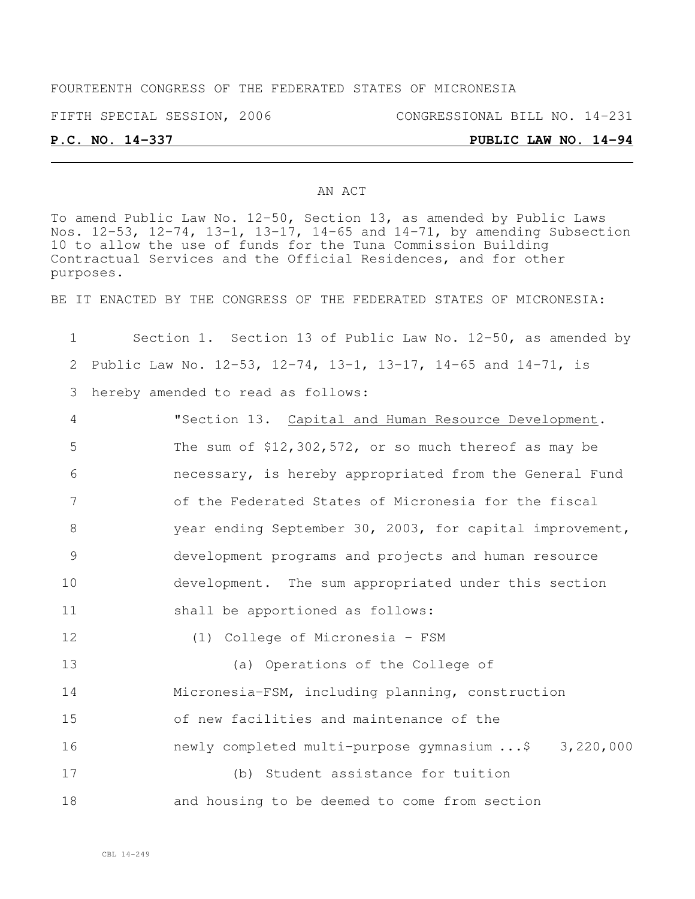#### FOURTEENTH CONGRESS OF THE FEDERATED STATES OF MICRONESIA

FIFTH SPECIAL SESSION, 2006 CONGRESSIONAL BILL NO. 14-231

### **P.C. NO. 14-337 PUBLIC LAW NO. 14-94**

#### AN ACT

To amend Public Law No. 12-50, Section 13, as amended by Public Laws Nos. 12-53, 12-74, 13-1, 13-17, 14-65 and 14-71, by amending Subsection 10 to allow the use of funds for the Tuna Commission Building Contractual Services and the Official Residences, and for other purposes.

BE IT ENACTED BY THE CONGRESS OF THE FEDERATED STATES OF MICRONESIA:

| $\mathbf 1$     | Section 1. Section 13 of Public Law No. 12-50, as amended by     |
|-----------------|------------------------------------------------------------------|
| 2               | Public Law No. 12-53, 12-74, 13-1, 13-17, 14-65 and $14-71$ , is |
| 3               | hereby amended to read as follows:                               |
| 4               | "Section 13. Capital and Human Resource Development.             |
| 5               | The sum of $$12,302,572$ , or so much thereof as may be          |
| 6               | necessary, is hereby appropriated from the General Fund          |
| $7\phantom{.0}$ | of the Federated States of Micronesia for the fiscal             |
| 8               | year ending September 30, 2003, for capital improvement,         |
| 9               | development programs and projects and human resource             |
| 10              | development. The sum appropriated under this section             |
| 11              | shall be apportioned as follows:                                 |
| 12              | (1) College of Micronesia - FSM                                  |
| 13              | (a) Operations of the College of                                 |
| 14              | Micronesia-FSM, including planning, construction                 |
| 15              | of new facilities and maintenance of the                         |
| 16              | newly completed multi-purpose gymnasium  \$ 3,220,000            |
| 17              | (b) Student assistance for tuition                               |
| 18              | and housing to be deemed to come from section                    |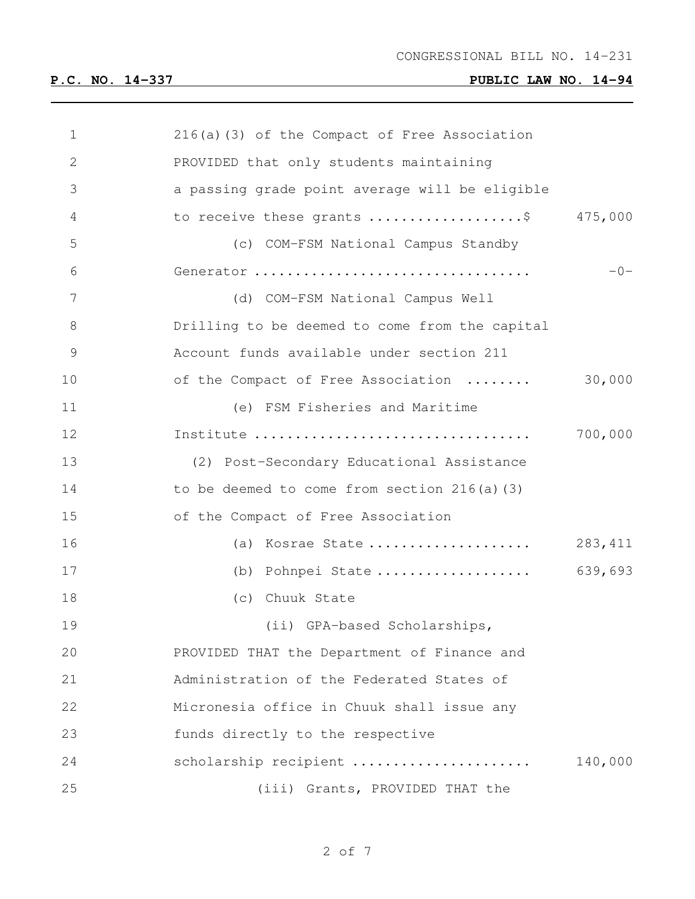| 1             | $216(a)$ (3) of the Compact of Free Association |          |
|---------------|-------------------------------------------------|----------|
| $\mathbf{2}$  | PROVIDED that only students maintaining         |          |
| 3             | a passing grade point average will be eligible  |          |
| 4             | to receive these grants \$ 475,000              |          |
| 5             | (c) COM-FSM National Campus Standby             |          |
| 6             | Generator                                       | $-0-$    |
| 7             | (d) COM-FSM National Campus Well                |          |
| 8             | Drilling to be deemed to come from the capital  |          |
| $\mathcal{G}$ | Account funds available under section 211       |          |
| 10            | of the Compact of Free Association              | 30,000   |
| 11            | (e) FSM Fisheries and Maritime                  |          |
| 12            |                                                 | 700,000  |
| 13            | (2) Post-Secondary Educational Assistance       |          |
| 14            | to be deemed to come from section $216(a)$ (3)  |          |
| 15            | of the Compact of Free Association              |          |
| 16            | (a) Kosrae State                                | 283, 411 |
| 17            | (b) Pohnpei State                               | 639,693  |
| 18            | (c) Chuuk State                                 |          |
| 19            | (ii) GPA-based Scholarships,                    |          |
| 20            | PROVIDED THAT the Department of Finance and     |          |
| 21            | Administration of the Federated States of       |          |
| 22            | Micronesia office in Chuuk shall issue any      |          |
| 23            | funds directly to the respective                |          |
| 24            | scholarship recipient                           | 140,000  |
| 25            | (iii) Grants, PROVIDED THAT the                 |          |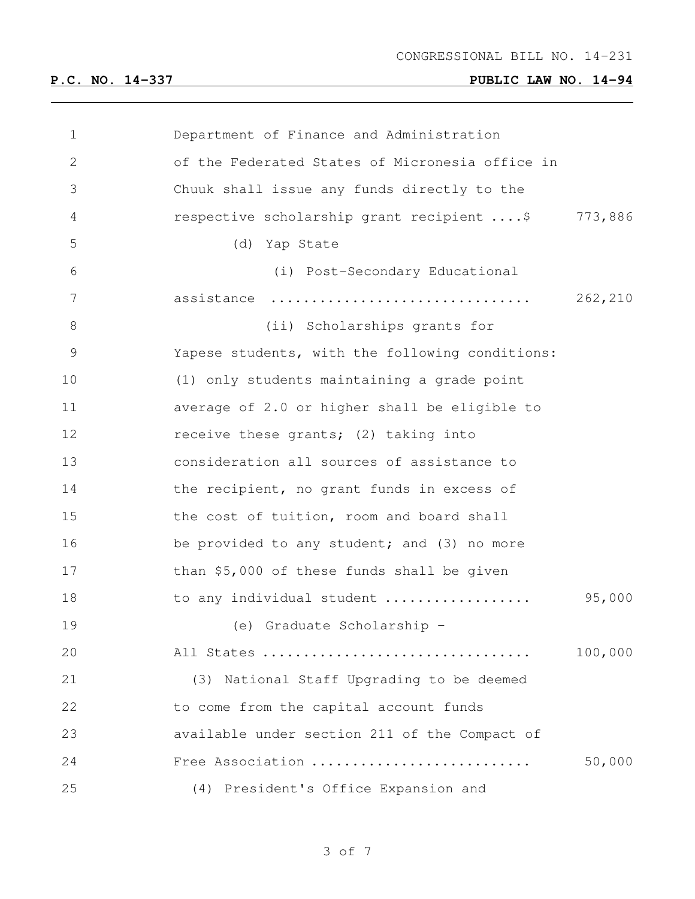| 1  | Department of Finance and Administration        |         |
|----|-------------------------------------------------|---------|
| 2  | of the Federated States of Micronesia office in |         |
| 3  | Chuuk shall issue any funds directly to the     |         |
| 4  | respective scholarship grant recipient \$       | 773,886 |
| 5  | (d) Yap State                                   |         |
| 6  | (i) Post-Secondary Educational                  |         |
| 7  | assistance                                      | 262,210 |
| 8  | (ii) Scholarships grants for                    |         |
| 9  | Yapese students, with the following conditions: |         |
| 10 | (1) only students maintaining a grade point     |         |
| 11 | average of 2.0 or higher shall be eligible to   |         |
| 12 | receive these grants; (2) taking into           |         |
| 13 | consideration all sources of assistance to      |         |
| 14 | the recipient, no grant funds in excess of      |         |
| 15 | the cost of tuition, room and board shall       |         |
| 16 | be provided to any student; and (3) no more     |         |
| 17 | than \$5,000 of these funds shall be given      |         |
| 18 | to any individual student                       | 95,000  |
| 19 | (e) Graduate Scholarship -                      |         |
| 20 | All States                                      | 100,000 |
| 21 | (3) National Staff Upgrading to be deemed       |         |
| 22 | to come from the capital account funds          |         |
| 23 | available under section 211 of the Compact of   |         |
| 24 | Free Association                                | 50,000  |
| 25 | (4) President's Office Expansion and            |         |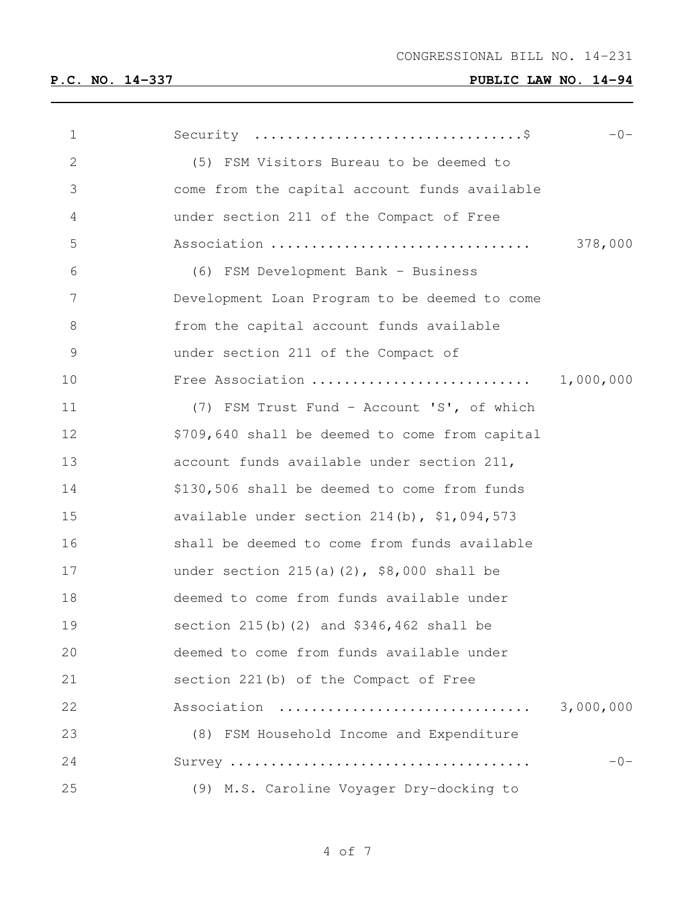| $\mathbf 1$   |                                                | $-0-$     |
|---------------|------------------------------------------------|-----------|
| $\mathbf{2}$  | (5) FSM Visitors Bureau to be deemed to        |           |
| 3             | come from the capital account funds available  |           |
| 4             | under section 211 of the Compact of Free       |           |
| 5             | Association                                    | 378,000   |
| 6             | (6) FSM Development Bank - Business            |           |
| 7             | Development Loan Program to be deemed to come  |           |
| 8             | from the capital account funds available       |           |
| $\mathcal{G}$ | under section 211 of the Compact of            |           |
| 10            | Free Association                               | 1,000,000 |
| 11            | (7) FSM Trust Fund - Account 'S', of which     |           |
| 12            | \$709,640 shall be deemed to come from capital |           |
| 13            | account funds available under section 211,     |           |
| 14            | \$130,506 shall be deemed to come from funds   |           |
| 15            | available under section 214(b), \$1,094,573    |           |
| 16            | shall be deemed to come from funds available   |           |
| 17            | under section $215(a)(2)$ , \$8,000 shall be   |           |
| 18            | deemed to come from funds available under      |           |
| 19            | section 215(b)(2) and \$346,462 shall be       |           |
| 20            | deemed to come from funds available under      |           |
| 21            | section 221(b) of the Compact of Free          |           |
| 22            | Association                                    | 3,000,000 |
| 23            | (8) FSM Household Income and Expenditure       |           |
| 24            |                                                | $-0-$     |
| 25            | (9) M.S. Caroline Voyager Dry-docking to       |           |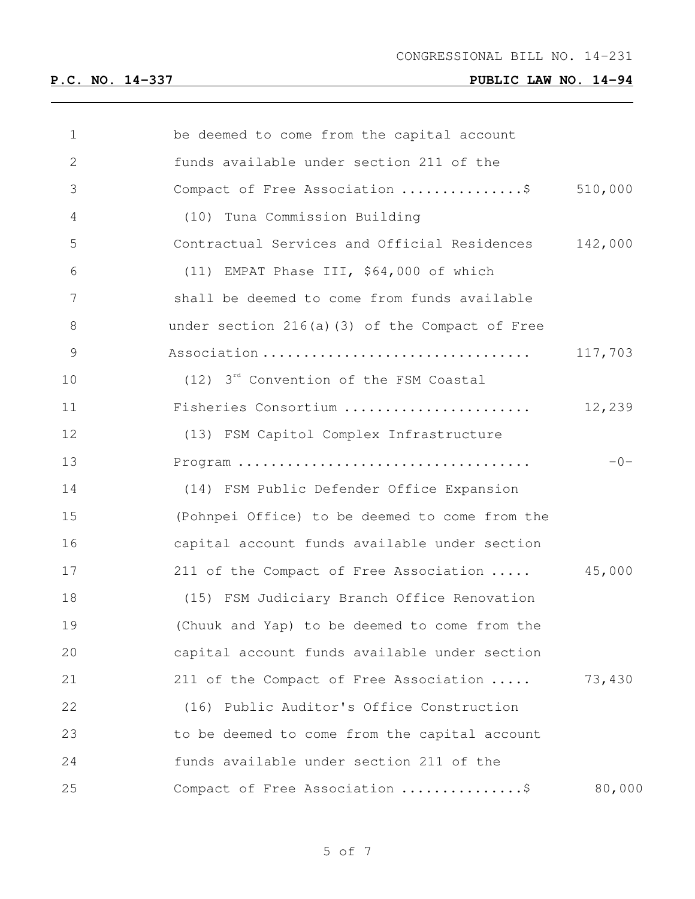| $\mathbf 1$ | be deemed to come from the capital account           |         |
|-------------|------------------------------------------------------|---------|
| 2           | funds available under section 211 of the             |         |
| 3           | Compact of Free Association \$                       | 510,000 |
| 4           | (10) Tuna Commission Building                        |         |
| 5           | Contractual Services and Official Residences         | 142,000 |
| 6           | (11) EMPAT Phase III, \$64,000 of which              |         |
| 7           | shall be deemed to come from funds available         |         |
| $8\,$       | under section 216(a)(3) of the Compact of Free       |         |
| $\mathsf 9$ | Association                                          | 117,703 |
| 10          | $(12)$ 3 <sup>rd</sup> Convention of the FSM Coastal |         |
| 11          | Fisheries Consortium                                 | 12,239  |
| 12          | (13) FSM Capitol Complex Infrastructure              |         |
| 13          |                                                      | $-0-$   |
| 14          | (14) FSM Public Defender Office Expansion            |         |
| 15          | (Pohnpei Office) to be deemed to come from the       |         |
| 16          | capital account funds available under section        |         |
| 17          | 211 of the Compact of Free Association               | 45,000  |
| 18          | (15) FSM Judiciary Branch Office Renovation          |         |
| 19          | (Chuuk and Yap) to be deemed to come from the        |         |
| 20          | capital account funds available under section        |         |
| 21          | 211 of the Compact of Free Association               | 73,430  |
| 22          | (16) Public Auditor's Office Construction            |         |
| 23          | to be deemed to come from the capital account        |         |
| 24          | funds available under section 211 of the             |         |
| 25          | Compact of Free Association \$                       | 80,000  |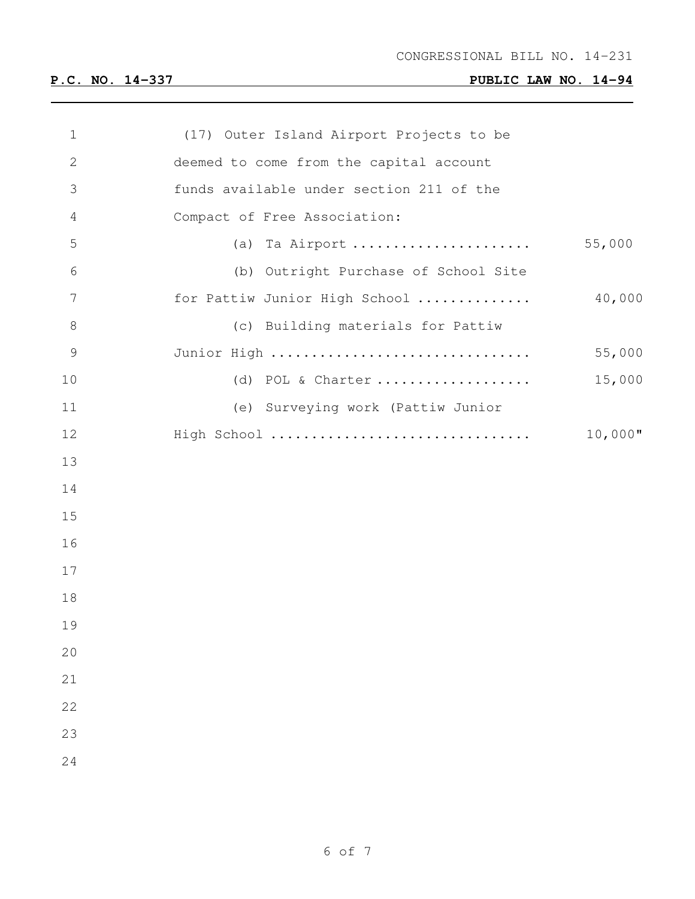| $\mathbf 1$   | (17) Outer Island Airport Projects to be |            |
|---------------|------------------------------------------|------------|
| $\mathbf{2}$  | deemed to come from the capital account  |            |
| 3             | funds available under section 211 of the |            |
| 4             | Compact of Free Association:             |            |
| 5             | (a) Ta Airport                           | 55,000     |
| 6             | (b) Outright Purchase of School Site     |            |
| 7             | for Pattiw Junior High School            | 40,000     |
| 8             | (c) Building materials for Pattiw        |            |
| $\mathcal{G}$ | Junior High                              | 55,000     |
| 10            | (d) POL & Charter                        | 15,000     |
| 11            | (e) Surveying work (Pattiw Junior        |            |
| 12            | High School                              | $10,000$ " |
| 13            |                                          |            |
| 14            |                                          |            |
| 15            |                                          |            |
| 16            |                                          |            |
| 17            |                                          |            |
| 18            |                                          |            |
| 19            |                                          |            |
| 20            |                                          |            |
| 21            |                                          |            |
| 22            |                                          |            |
| 23            |                                          |            |
| 24            |                                          |            |